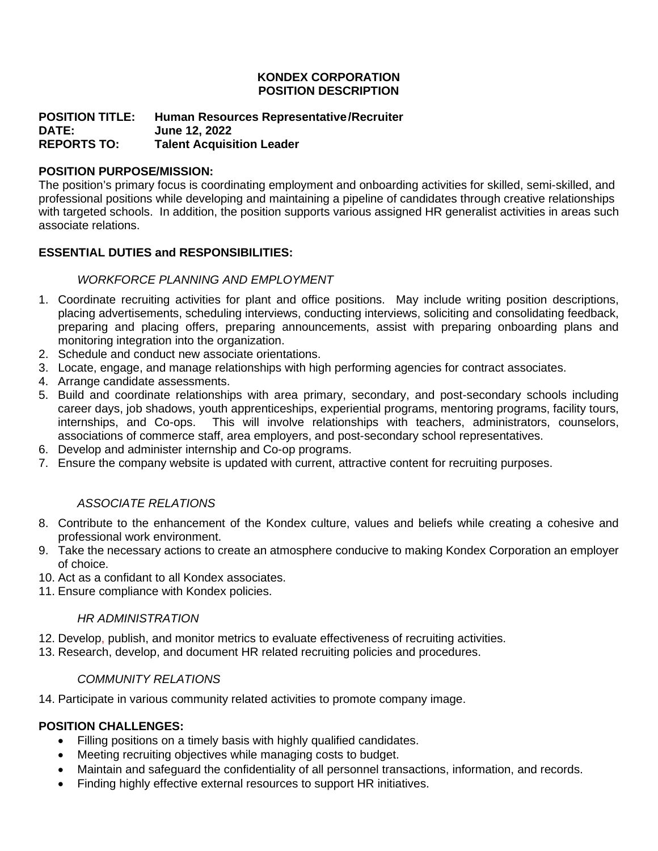### **KONDEX CORPORATION POSITION DESCRIPTION**

### **POSITION TITLE: Human Resources Representative/Recruiter DATE: June 12, 2022 Talent Acquisition Leader**

### **POSITION PURPOSE/MISSION:**

The position's primary focus is coordinating employment and onboarding activities for skilled, semi-skilled, and professional positions while developing and maintaining a pipeline of candidates through creative relationships with targeted schools. In addition, the position supports various assigned HR generalist activities in areas such associate relations.

### **ESSENTIAL DUTIES and RESPONSIBILITIES:**

### *WORKFORCE PLANNING AND EMPLOYMENT*

- 1. Coordinate recruiting activities for plant and office positions. May include writing position descriptions, placing advertisements, scheduling interviews, conducting interviews, soliciting and consolidating feedback, preparing and placing offers, preparing announcements, assist with preparing onboarding plans and monitoring integration into the organization.
- 2. Schedule and conduct new associate orientations.
- 3. Locate, engage, and manage relationships with high performing agencies for contract associates.
- 4. Arrange candidate assessments.
- 5. Build and coordinate relationships with area primary, secondary, and post-secondary schools including career days, job shadows, youth apprenticeships, experiential programs, mentoring programs, facility tours, internships, and Co-ops. This will involve relationships with teachers, administrators, counselors, associations of commerce staff, area employers, and post-secondary school representatives.
- 6. Develop and administer internship and Co-op programs.
- 7. Ensure the company website is updated with current, attractive content for recruiting purposes.

### *ASSOCIATE RELATIONS*

- 8. Contribute to the enhancement of the Kondex culture, values and beliefs while creating a cohesive and professional work environment.
- 9. Take the necessary actions to create an atmosphere conducive to making Kondex Corporation an employer of choice.
- 10. Act as a confidant to all Kondex associates.
- 11. Ensure compliance with Kondex policies.

### *HR ADMINISTRATION*

- 12. Develop, publish, and monitor metrics to evaluate effectiveness of recruiting activities.
- 13. Research, develop, and document HR related recruiting policies and procedures.

### *COMMUNITY RELATIONS*

14. Participate in various community related activities to promote company image.

### **POSITION CHALLENGES:**

- Filling positions on a timely basis with highly qualified candidates.
- Meeting recruiting objectives while managing costs to budget.
- Maintain and safeguard the confidentiality of all personnel transactions, information, and records.
- Finding highly effective external resources to support HR initiatives.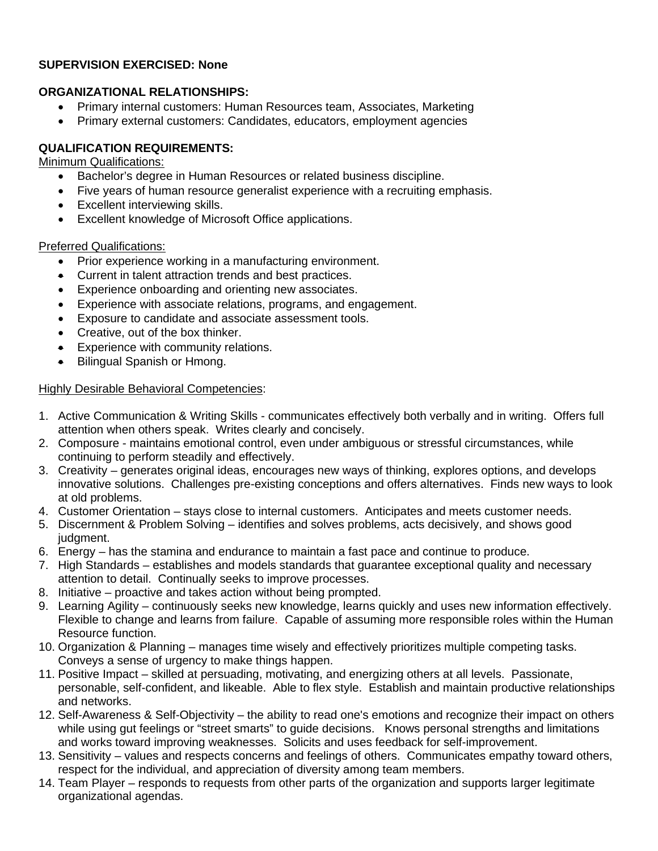### **SUPERVISION EXERCISED: None**

### **ORGANIZATIONAL RELATIONSHIPS:**

- Primary internal customers: Human Resources team, Associates, Marketing
- Primary external customers: Candidates, educators, employment agencies

### **QUALIFICATION REQUIREMENTS:**

Minimum Qualifications:

- Bachelor's degree in Human Resources or related business discipline.
- Five years of human resource generalist experience with a recruiting emphasis.
- Excellent interviewing skills.
- Excellent knowledge of Microsoft Office applications.

### Preferred Qualifications:

- Prior experience working in a manufacturing environment.
- Current in talent attraction trends and best practices.
- Experience onboarding and orienting new associates.
- Experience with associate relations, programs, and engagement.
- Exposure to candidate and associate assessment tools.
- Creative, out of the box thinker.
- Experience with community relations.
- Bilingual Spanish or Hmong.

### Highly Desirable Behavioral Competencies:

- 1. Active Communication & Writing Skills communicates effectively both verbally and in writing. Offers full attention when others speak. Writes clearly and concisely.
- 2. Composure maintains emotional control, even under ambiguous or stressful circumstances, while continuing to perform steadily and effectively.
- 3. Creativity generates original ideas, encourages new ways of thinking, explores options, and develops innovative solutions. Challenges pre-existing conceptions and offers alternatives. Finds new ways to look at old problems.
- 4. Customer Orientation stays close to internal customers. Anticipates and meets customer needs.
- 5. Discernment & Problem Solving identifies and solves problems, acts decisively, and shows good judgment.
- 6. Energy has the stamina and endurance to maintain a fast pace and continue to produce.
- 7. High Standards establishes and models standards that guarantee exceptional quality and necessary attention to detail. Continually seeks to improve processes.
- 8. Initiative proactive and takes action without being prompted.
- 9. Learning Agility continuously seeks new knowledge, learns quickly and uses new information effectively. Flexible to change and learns from failure. Capable of assuming more responsible roles within the Human Resource function.
- 10. Organization & Planning manages time wisely and effectively prioritizes multiple competing tasks. Conveys a sense of urgency to make things happen.
- 11. Positive Impact skilled at persuading, motivating, and energizing others at all levels. Passionate, personable, self-confident, and likeable. Able to flex style. Establish and maintain productive relationships and networks.
- 12. Self-Awareness & Self-Objectivity the ability to read one's emotions and recognize their impact on others while using gut feelings or "street smarts" to quide decisions. Knows personal strengths and limitations and works toward improving weaknesses. Solicits and uses feedback for self-improvement.
- 13. Sensitivity values and respects concerns and feelings of others. Communicates empathy toward others, respect for the individual, and appreciation of diversity among team members.
- 14. Team Player responds to requests from other parts of the organization and supports larger legitimate organizational agendas.